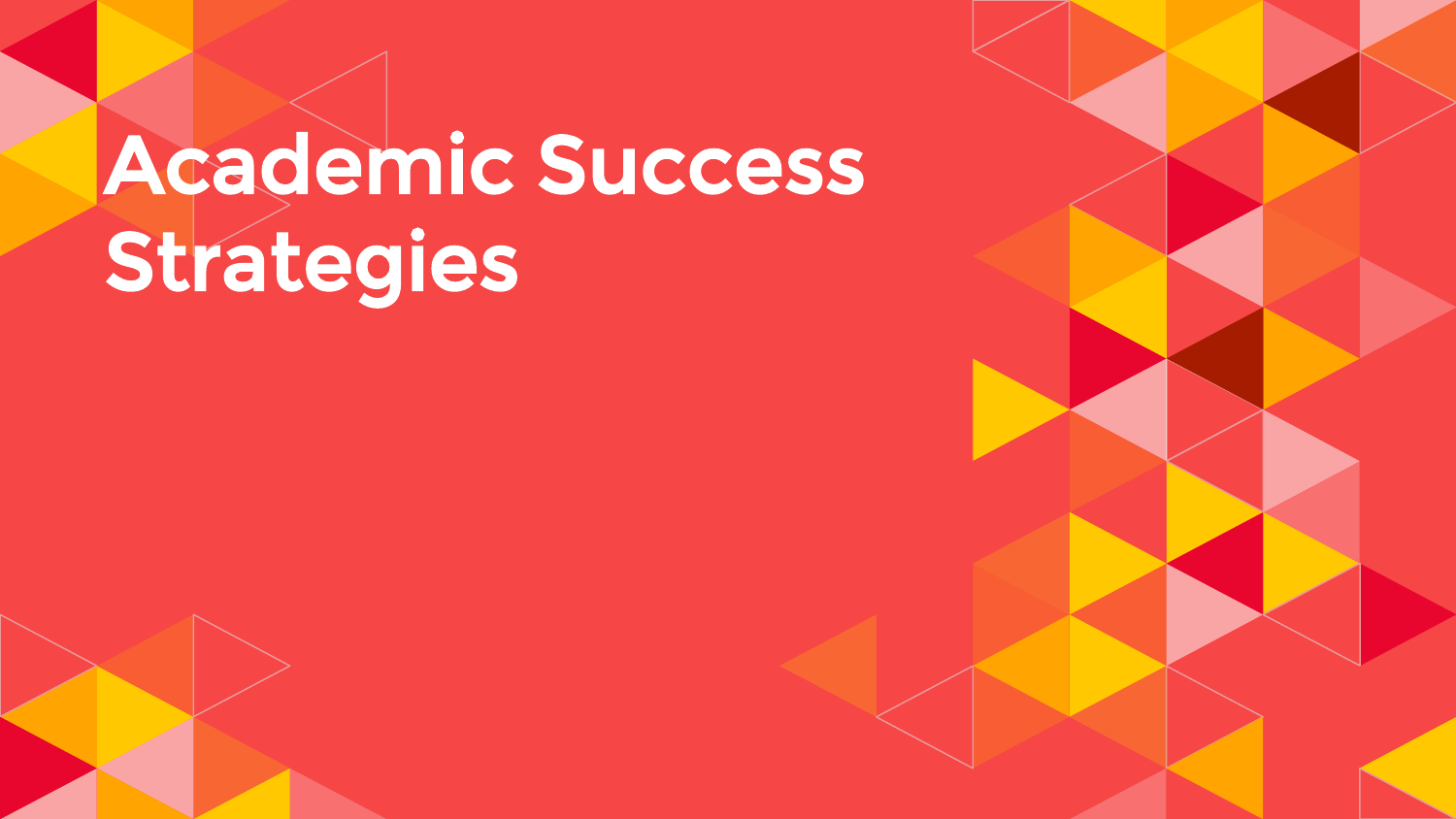# Academic Success Strategies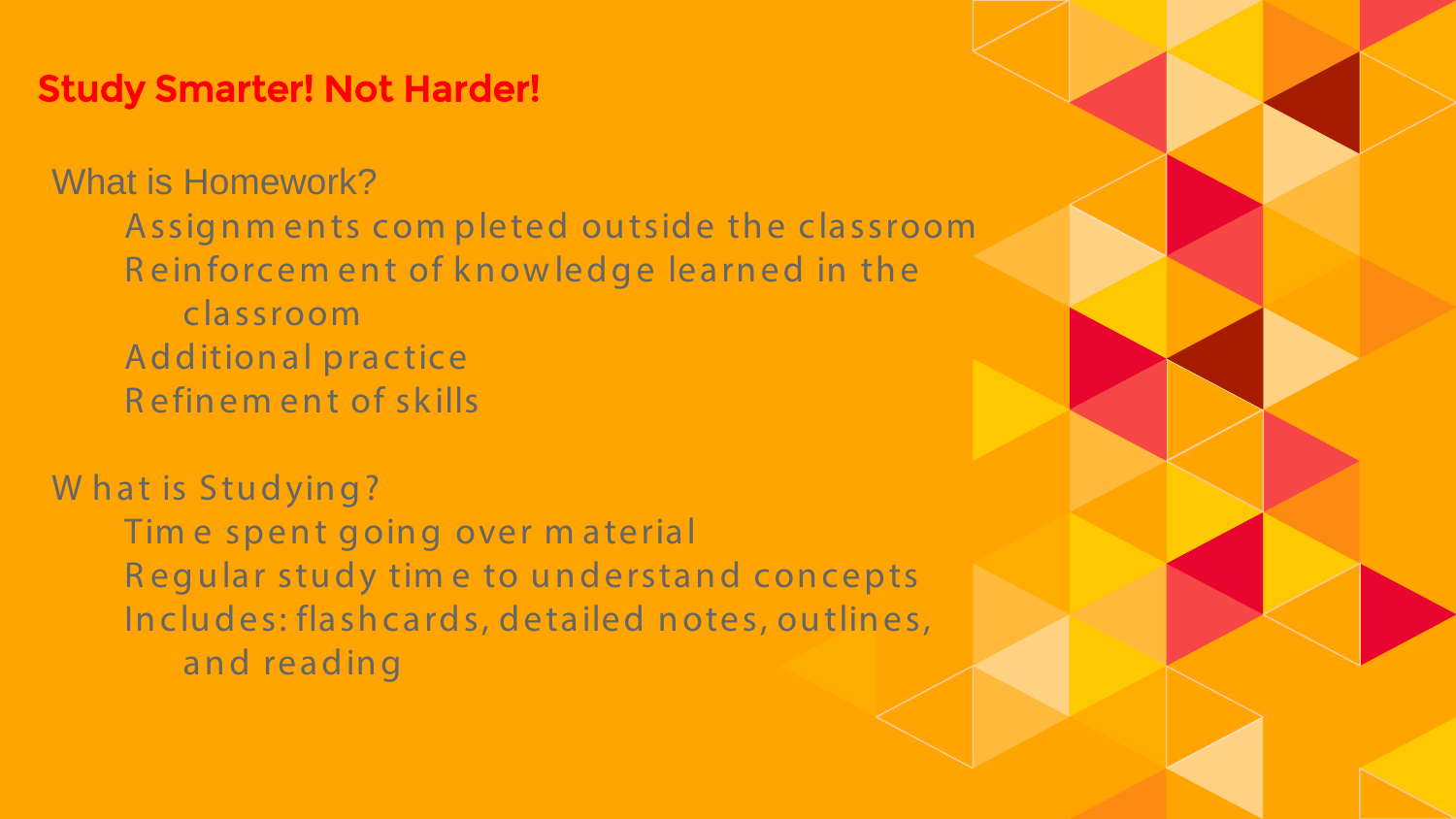### **Study Smarter! Not Harder!**

**What is Homework?** Assignments completed outside the classroom Reinforcement of knowledge learned in the classroom **Additional practice** Refinement of skills

What is Studying? Time spent going over material Regular study time to understand concepts Includes: flashcards, detailed notes, outlines, and reading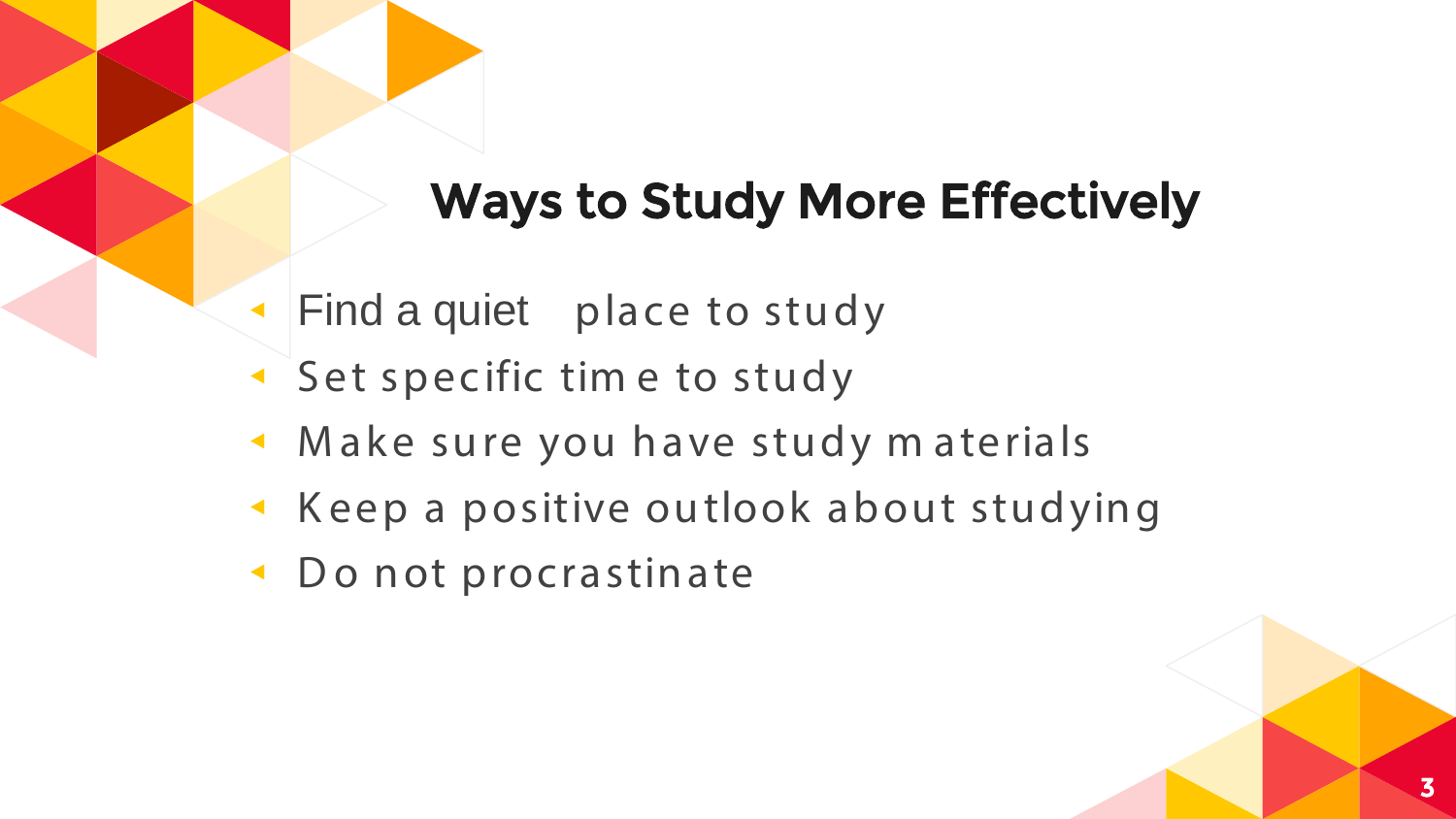# Ways to Study More Effectively

- ◂ Find a quiet place to study
- Set specific time to study
- ◂ M ake sure you have study m aterials
- ◂ K eep a positive outlook about studying
- ◂ D o not procrastinate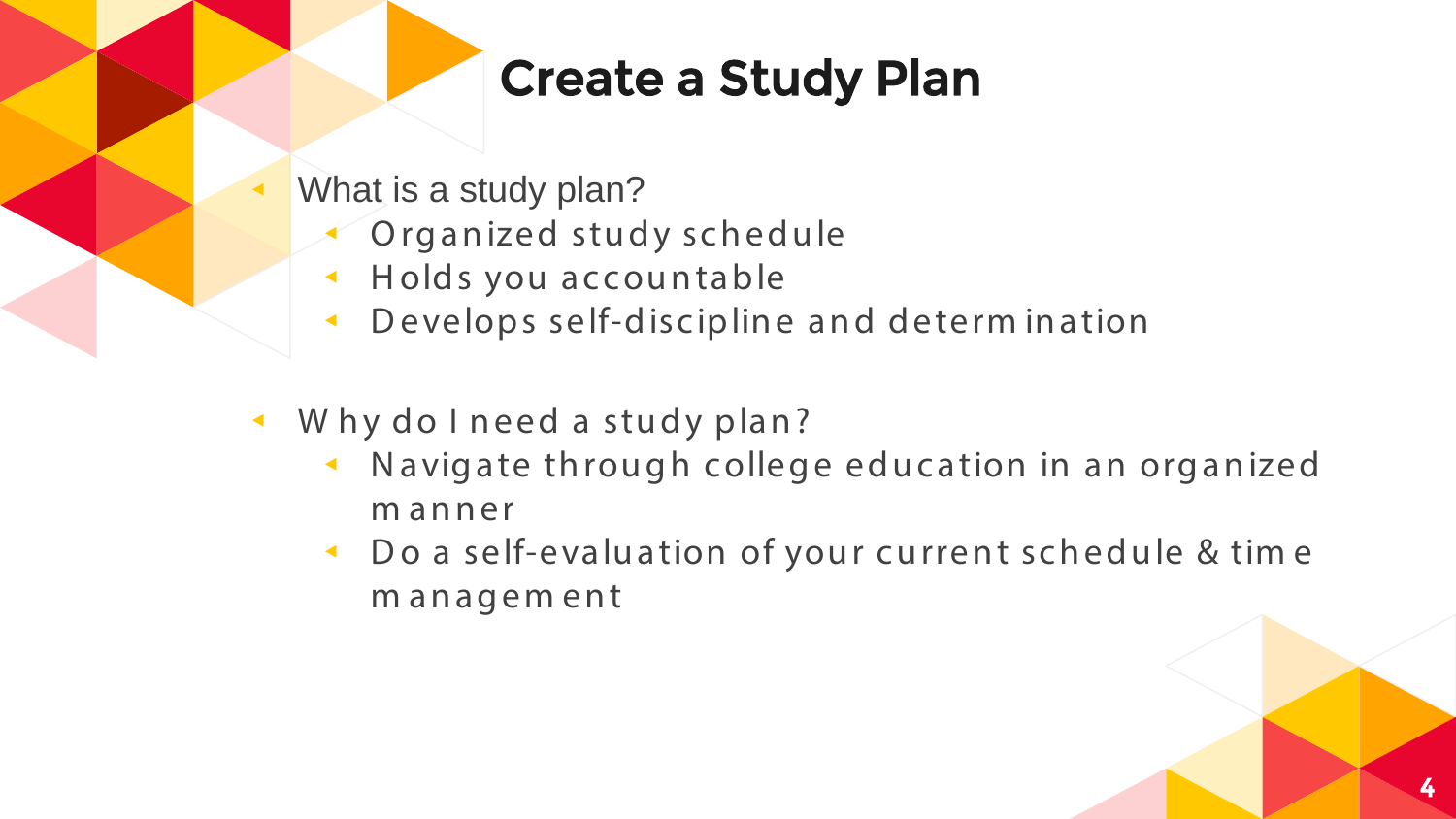# **Create a Study Plan**

- What is a study plan?
	- Organized study schedule
	- Holds you accountable  $\blacktriangleleft$
	- Develops self-discipline and determ ination
- Why do I need a study plan?
	- Navigate through college education in an organized  $\blacktriangleleft$ manner
	- ← Do a self-evaluation of your current schedule & time management

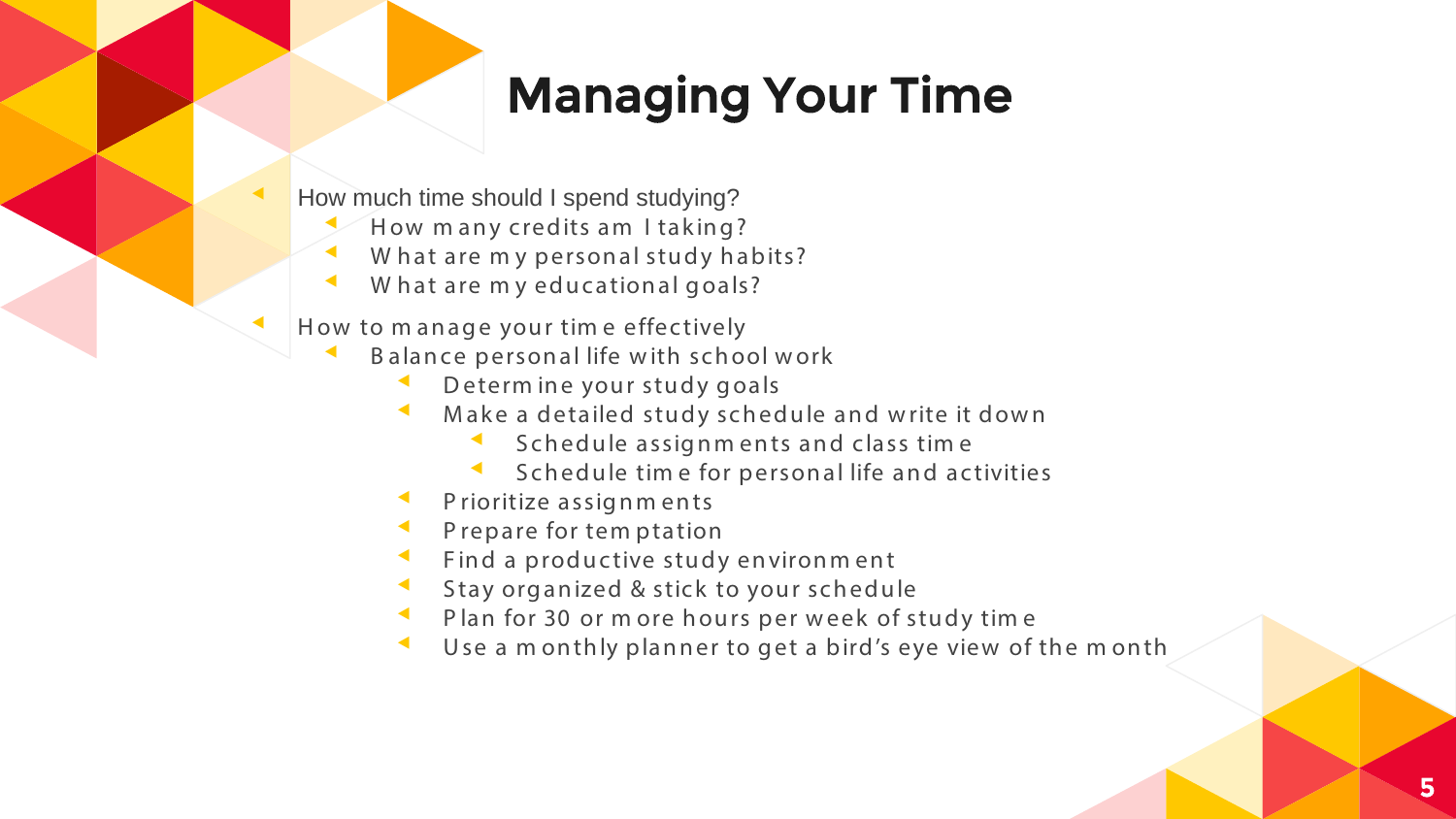# **Managing Your Time**

- How much time should I spend studying?
	- How many credits am I taking?
	- What are my personal study habits?
	- What are my educational goals?
- How to manage your time effectively
	- Balance personal life with school work
		- Determine your study goals
		- Make a detailed study schedule and write it down
			- Schedule assignments and class time ◀
			- Schedule time for personal life and activities  $\blacktriangleleft$
		- Prioritize assignments
		- Prepare for tem ptation
		- Find a productive study environment
		- Stay organized & stick to your schedule
		- Plan for 30 or m ore hours per week of study time
		- Use a monthly planner to get a bird's eye view of the month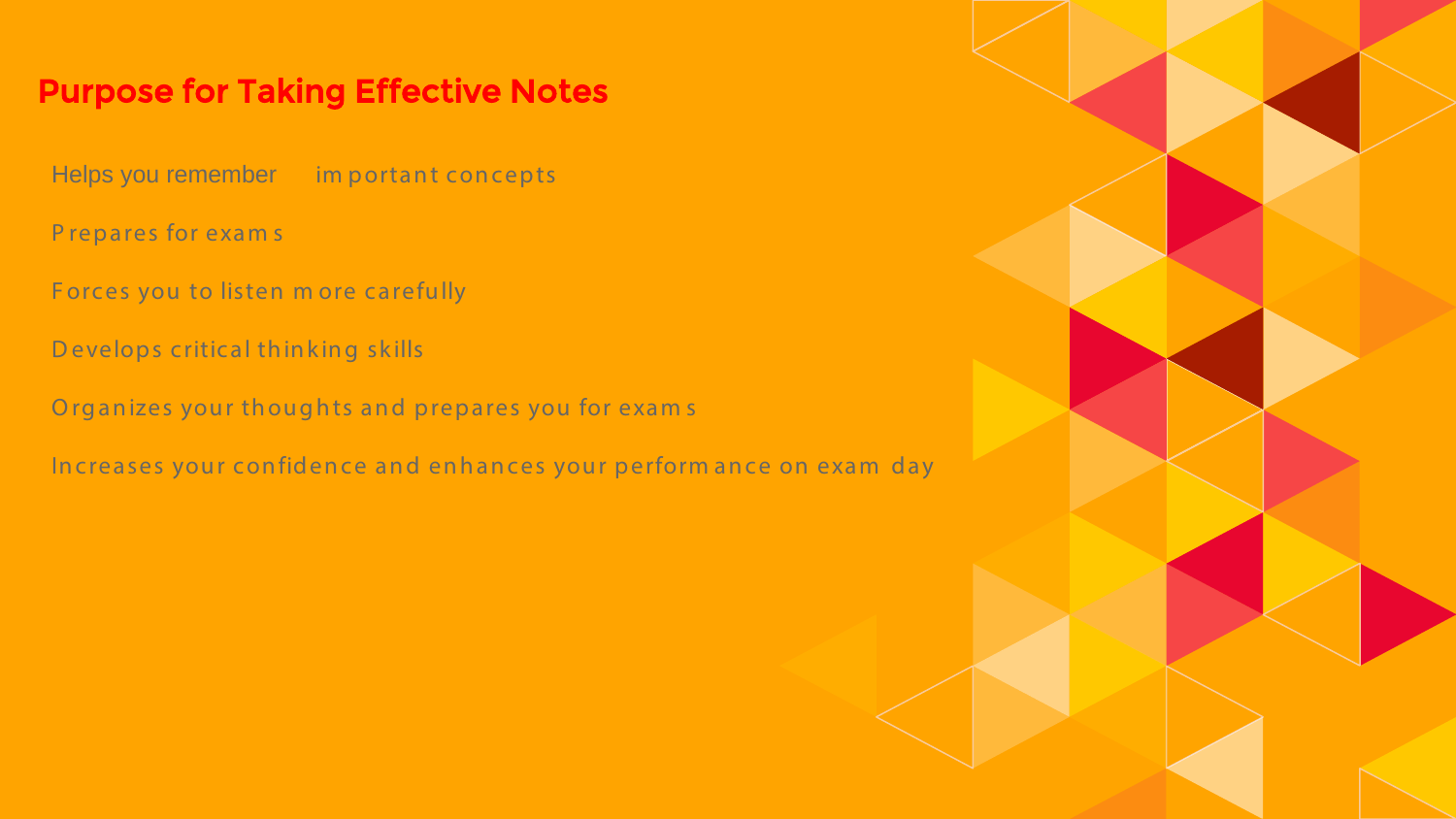### Purpose for Taking Effective Notes

Helps you remember im portant concepts

P repares for exam s

Forces you to listen m ore carefully

D evelops critical thinking skills

Organizes your thoughts and prepares you for exams

Increases your confidence and enhances your perform ance on exam day

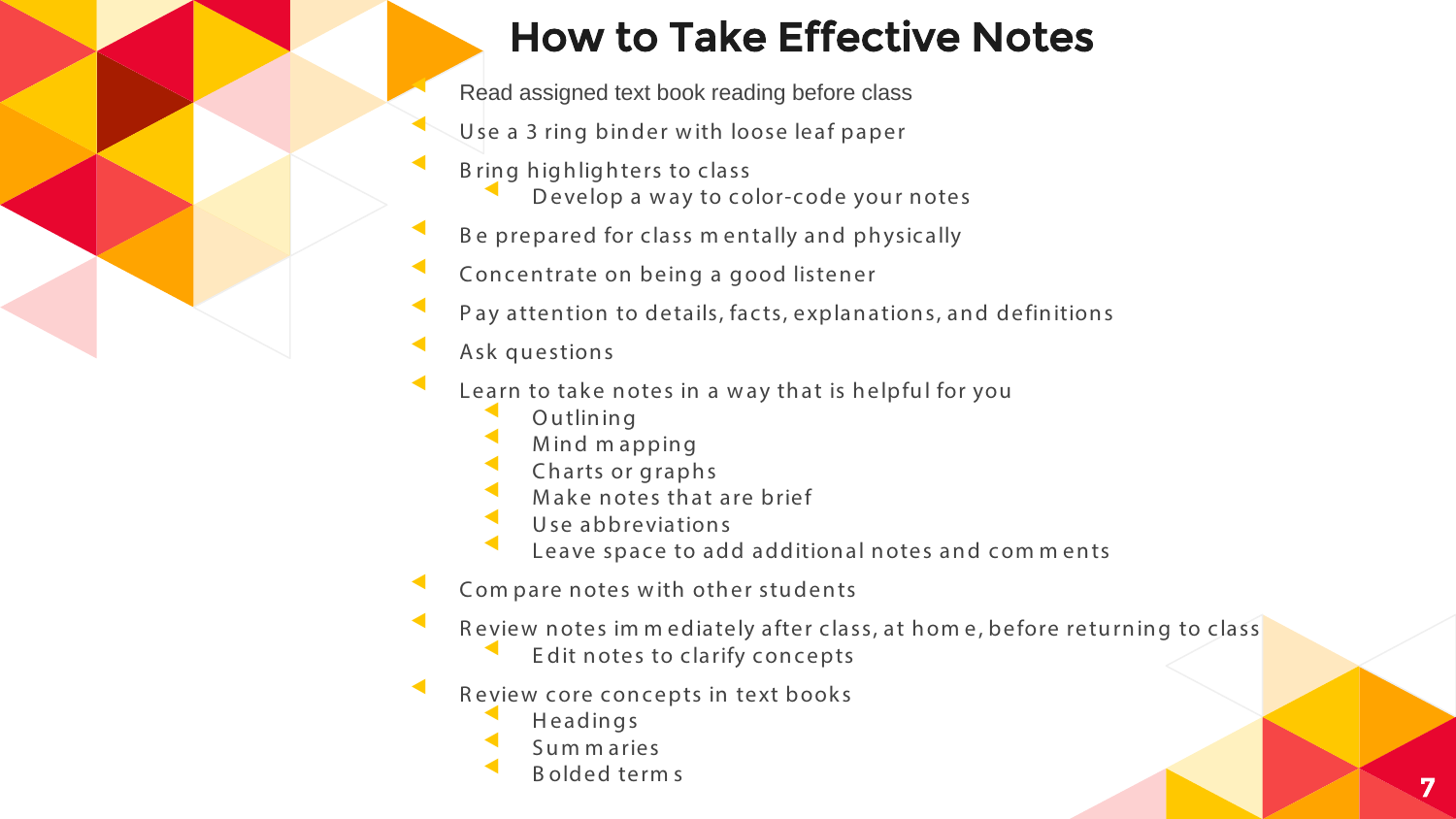### How to Take Effective Notes

Read assigned text book reading before class

- Use a 3 ring binder with loose leaf paper
- B ring highlighters to class
	- Develop a way to color-code your notes
- Be prepared for class mentally and physically
- Concentrate on being a good listener
- Pay attention to details, facts, explanations, and definitions
- Ask questions
	- Learn to take notes in a way that is helpful for you
		- **Outlining**
		- Mind m apping
		- Charts or graphs
		- Make notes that are brief
		- Use abbreviations
		- Leave space to add additional notes and comments
- Com pare notes with other students
	- Review notes im m ediately after class, at hom e, before returning to class
		- Edit notes to clarify concepts
- Review core concepts in text books
	- **Headings**
	- Sum m aries<br>Bolded terms
	- ▲ Bolded terms 7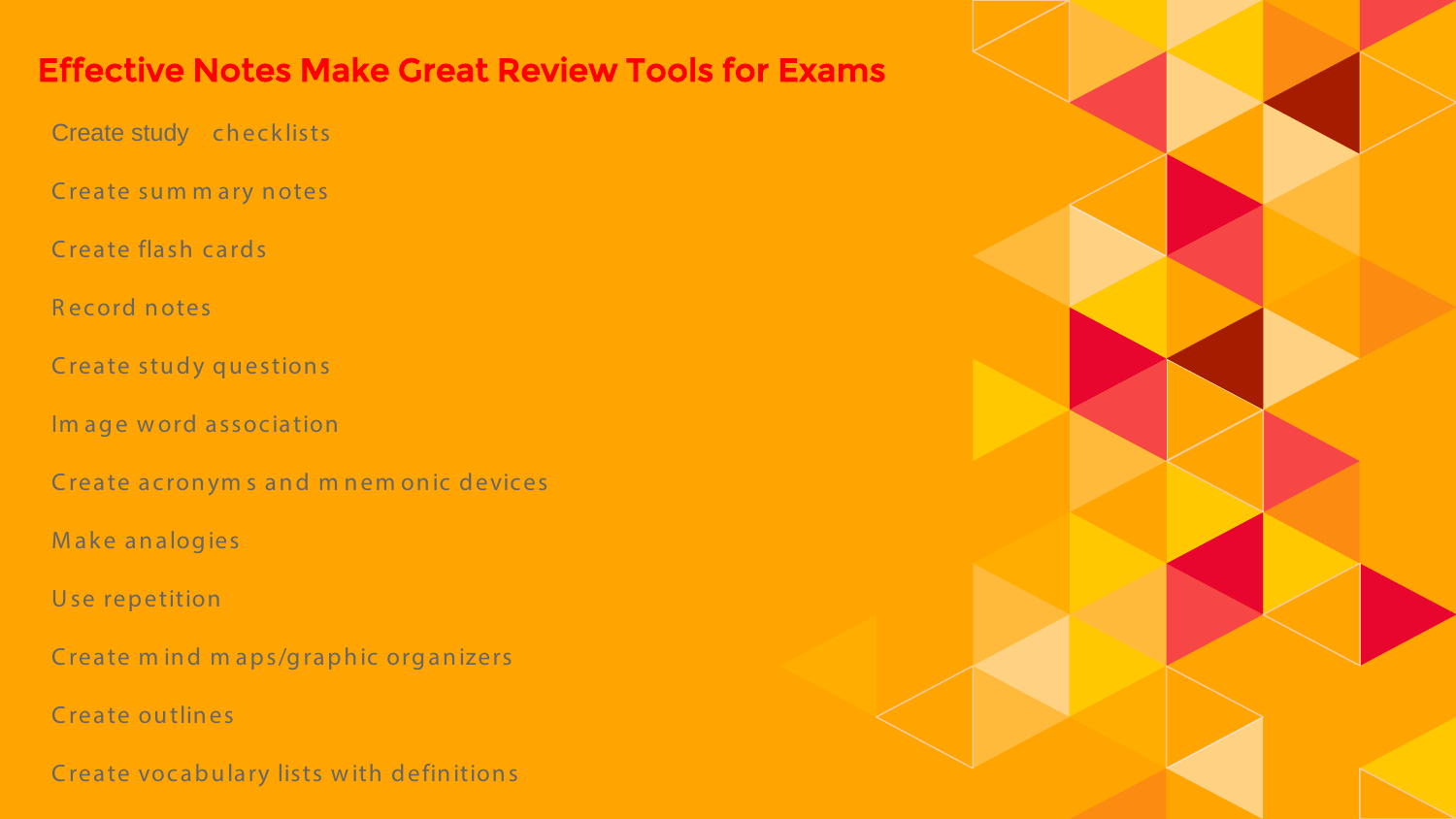### Effective Notes Make Great Review Tools for Exams

Create study checklists

Create sum m ary notes

Create flash cards

R ecord notes

Create study questions

Im age word association

Create acronym s and m nem onic devices

M ake analogies

U se repetition

Create m ind m aps/graphic organizers

C reate outlines

C reate vocabulary lists w ith definitions

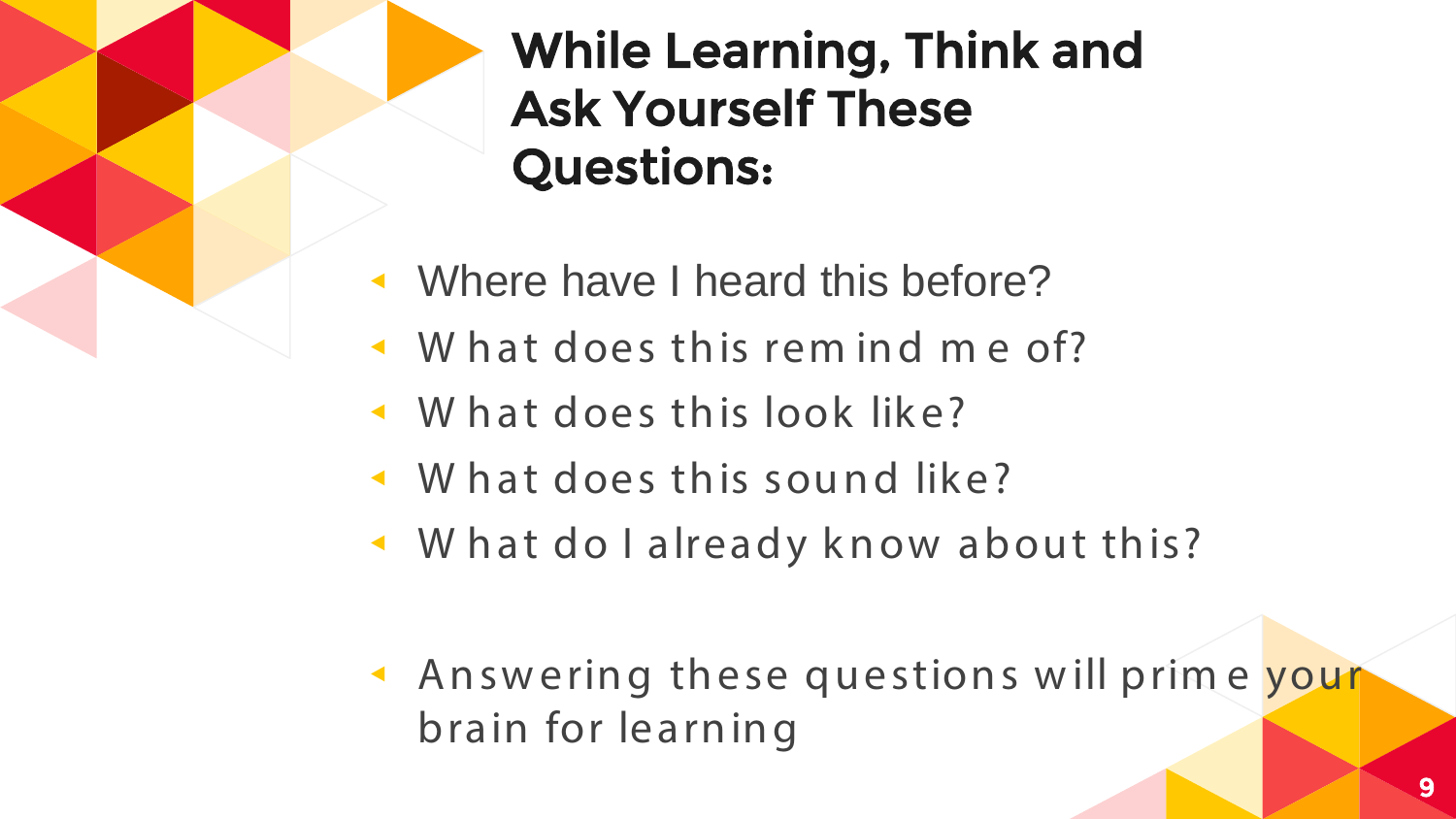# While Learning, Think and Ask Yourself These Questions:

- ◂ Where have I heard this before?
- ◂ W hat does this rem ind m e of?
- ◂ W hat does this look like?
- ◂ W hat does this sound like?
- ◂ W hat do I already know about this?
- ◂ Answ ering these questions w ill prim e your brain for learning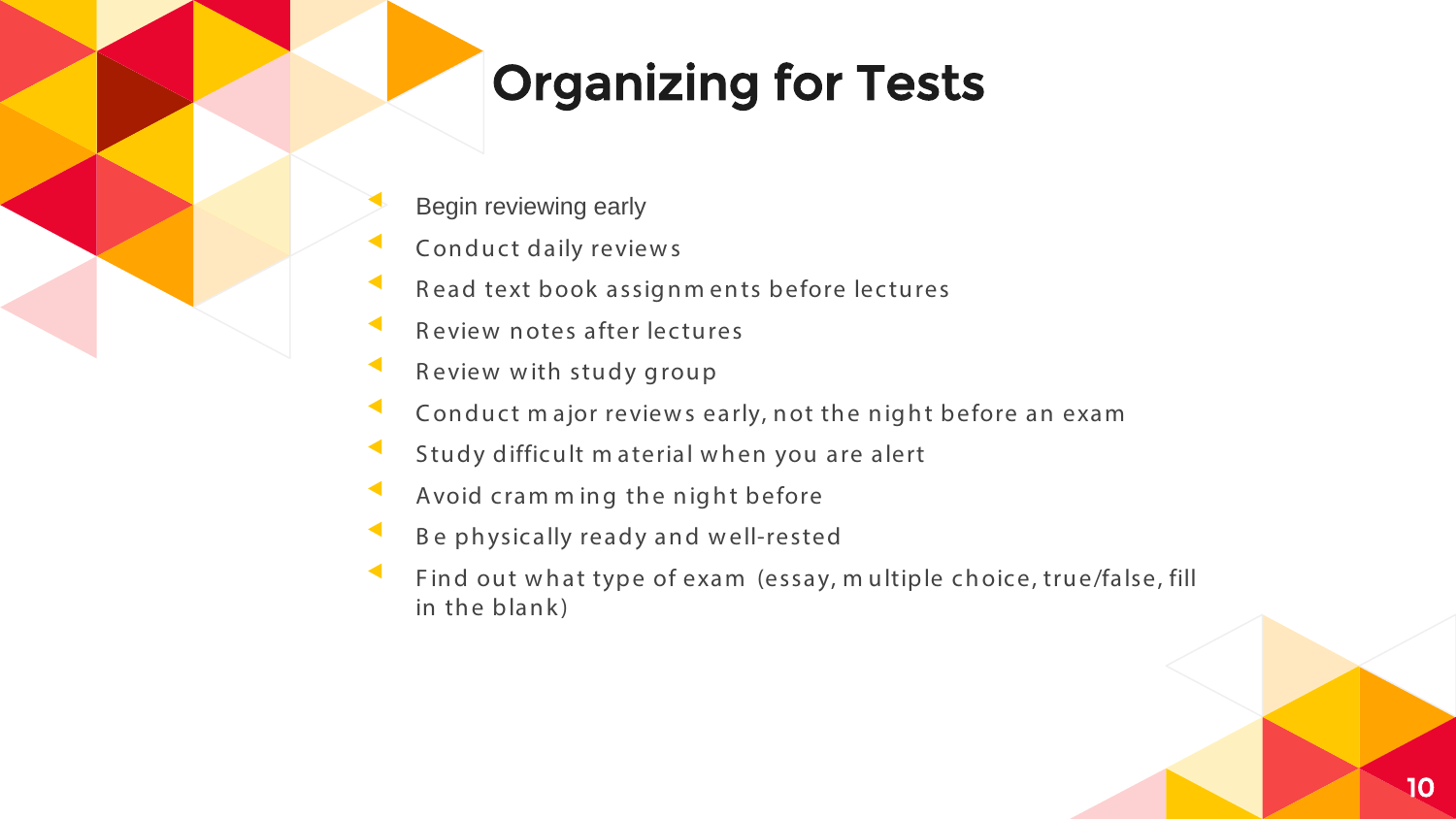# Organizing for Tests

- Begin reviewing early
- Conduct daily reviews
- Read text book assignm ents before lectures
- Review notes after lectures
- Review with study group
- Conduct major reviews early, not the night before an exam
- Study difficult material when you are alert
- Avoid cram ming the night before
- Be physically ready and well-rested
- Find out what type of exam (essay, m ultiple choice, true/false, fill in the blank)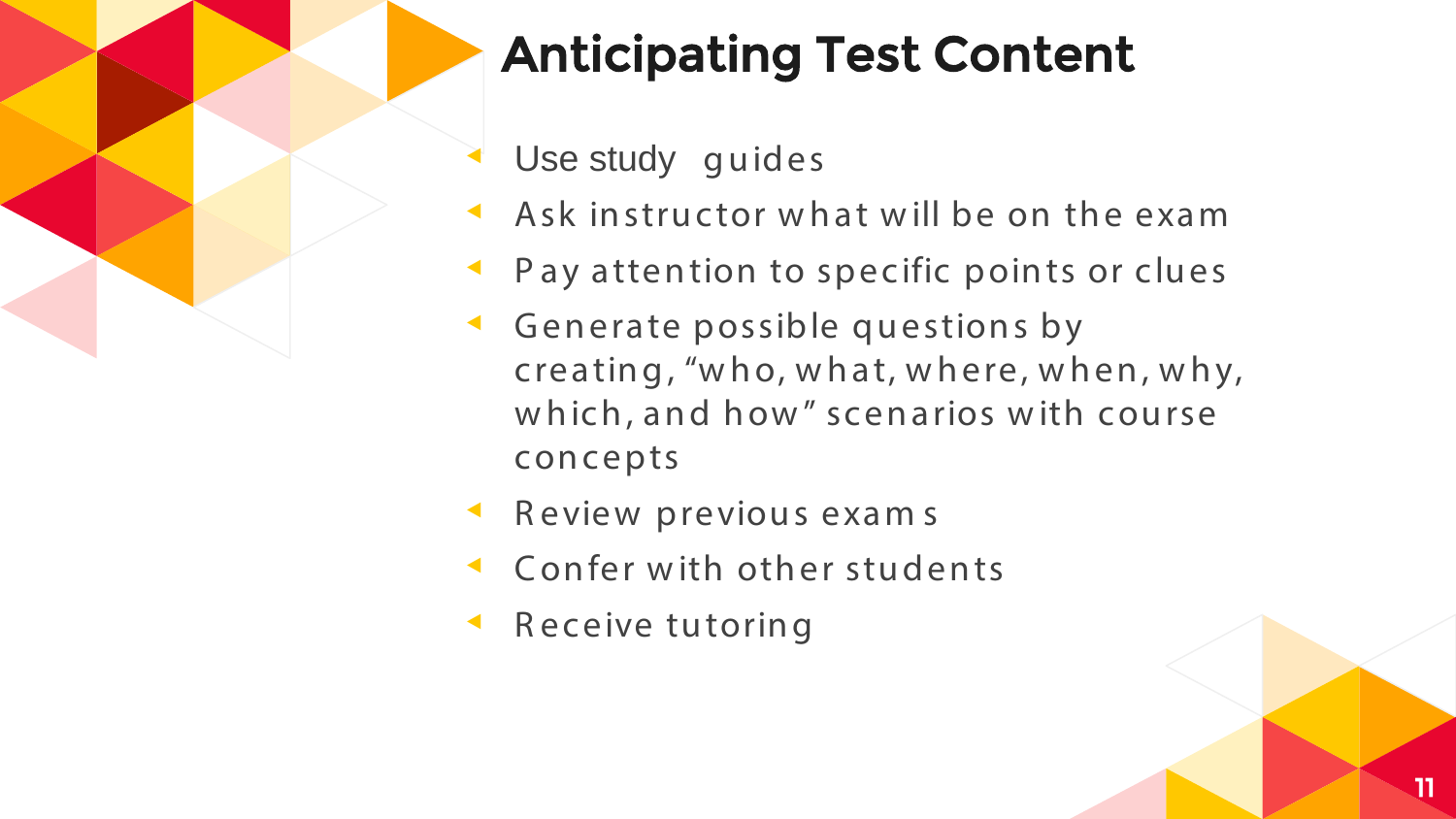

# **Anticipating Test Content**

- Use study quides
- Ask instructor what will be on the exam
- Pay attention to specific points or clues
- Generate possible questions by creating, "who, what, where, when, why, which, and how" scenarios with course concepts
- Review previous exams
- Confer with other students
- Receive tutoring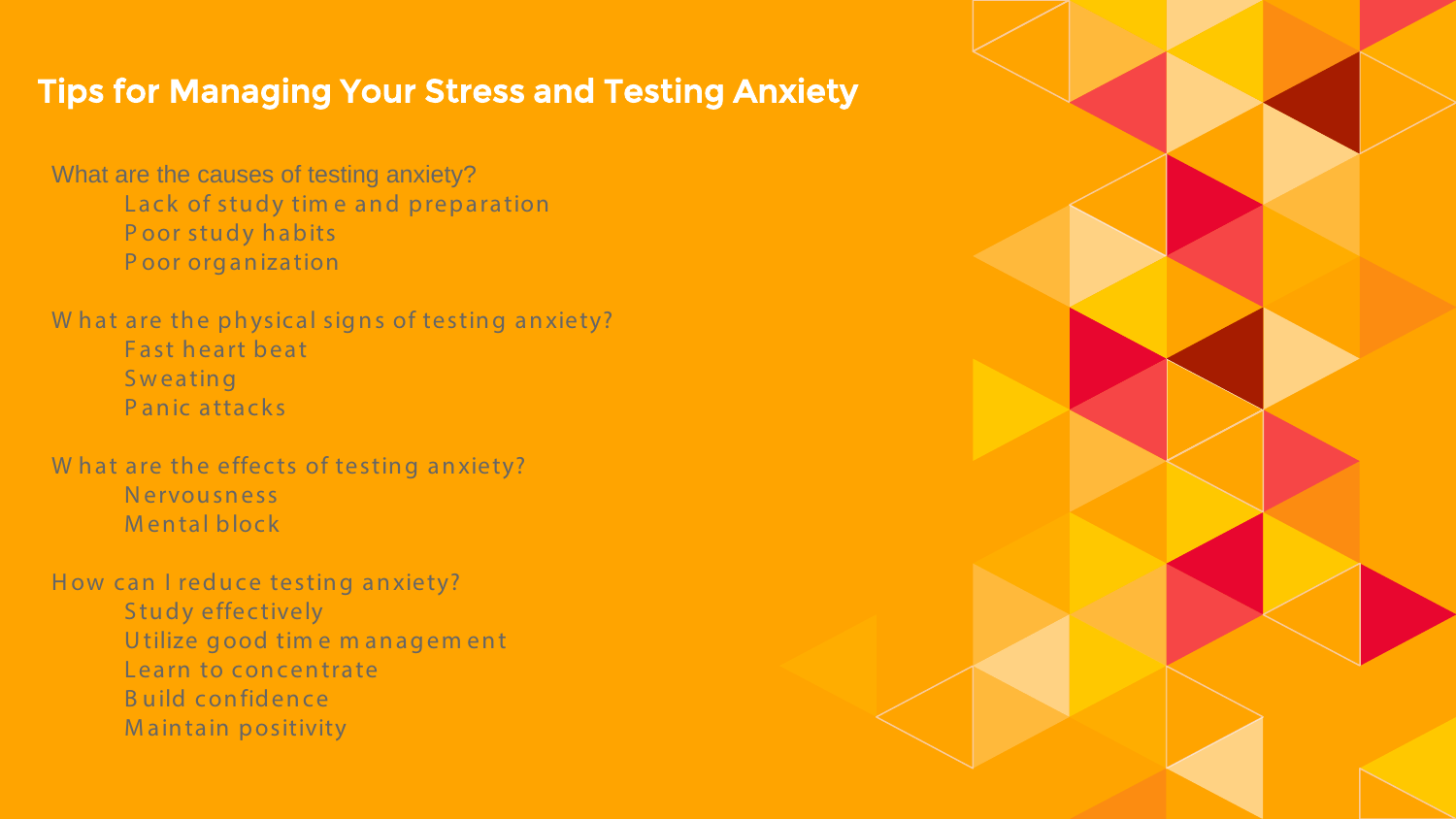### Tips for Managing Your Stress and Testing Anxiety

What are the causes of testing anxiety? Lack of study tim e and preparation P oor study habits P oor organization

W hat are the physical signs of testing anxiety? Fast heart beat **Sweating** P anic attacks

W hat are the effects of testing anxiety? Nervousness M ental block

How can I reduce testing anxiety? Study effectively U tilize good tim e m anagem ent Learn to concentrate B uild confidence M aintain positivity

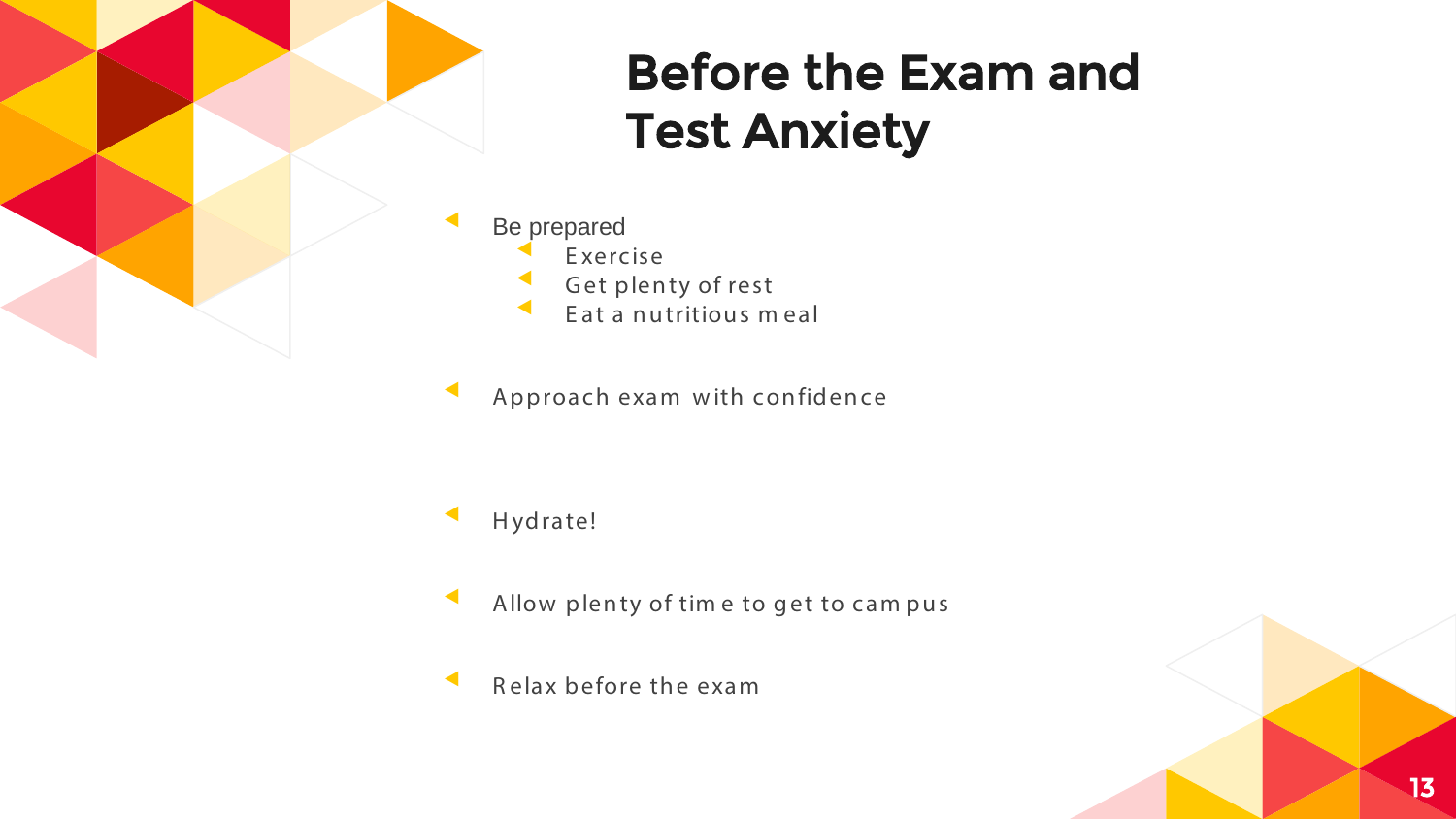

# **Before the Exam and Test Anxiety**

- Be prepared Exercise Get plenty of rest Eat a nutritious meal
- Approach exam with confidence

- Hydrate!
- Allow plenty of time to get to campus
- Relax before the exam

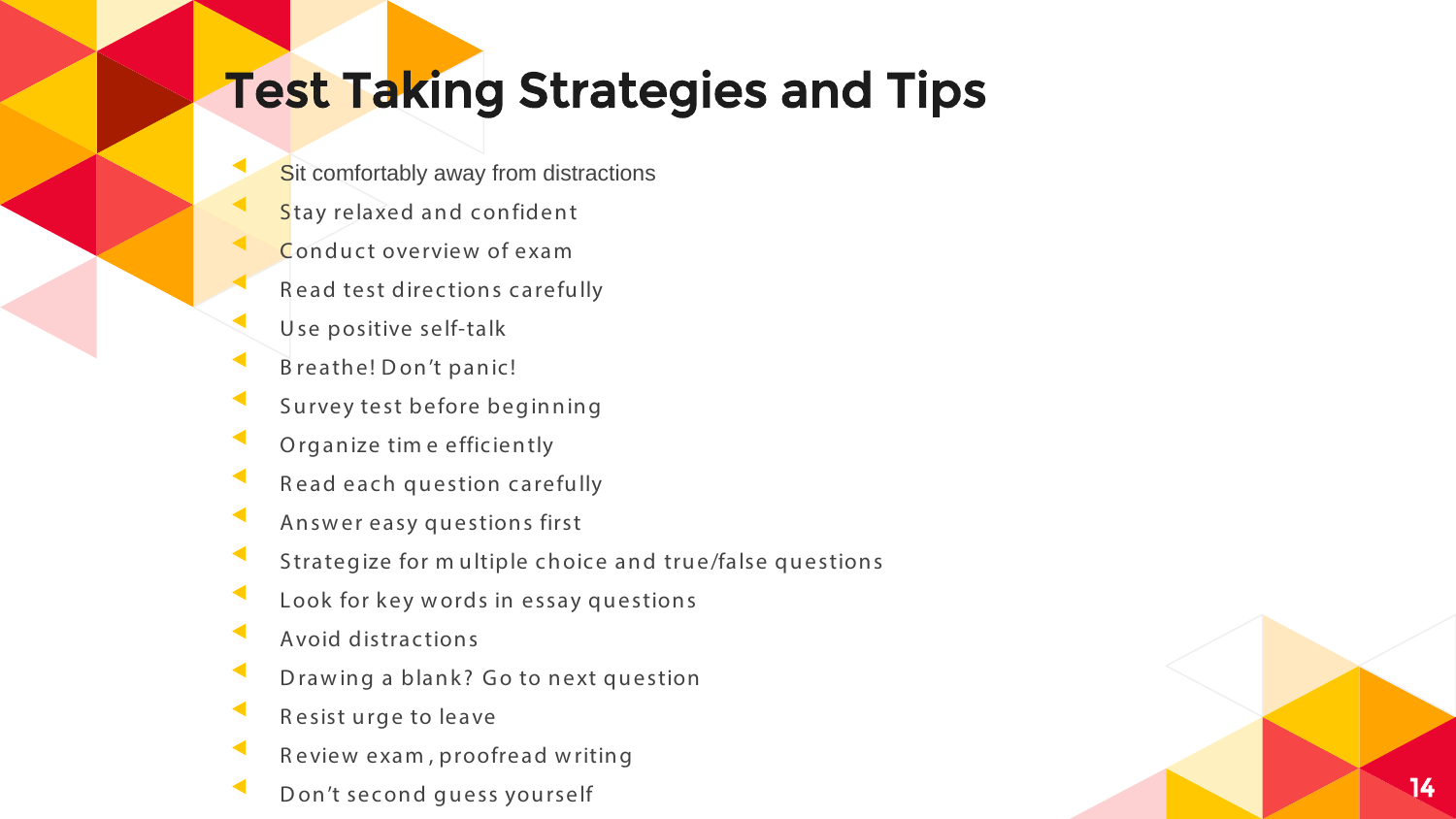### Test Taking Strategies and Tips

- 
- 
- 
- 
- 
- 
- 
- 
- 
- 
- 
- 
- 
- 
- 
- 
- 

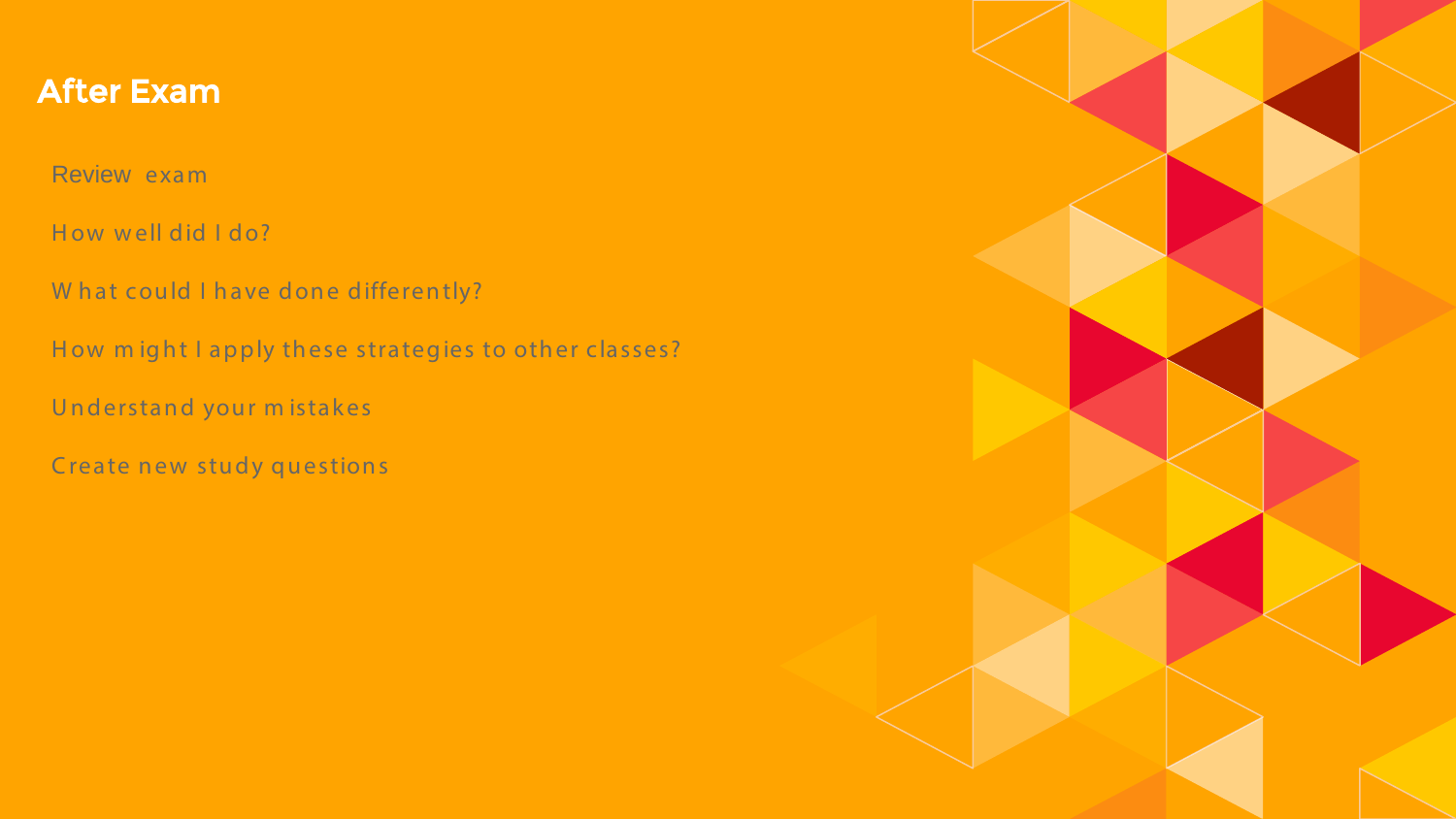#### After Exam

Review exam

How well did I do?

W hat could I have done differently?

How might I apply these strategies to other classes?

Understand your m istakes

Create new study questions

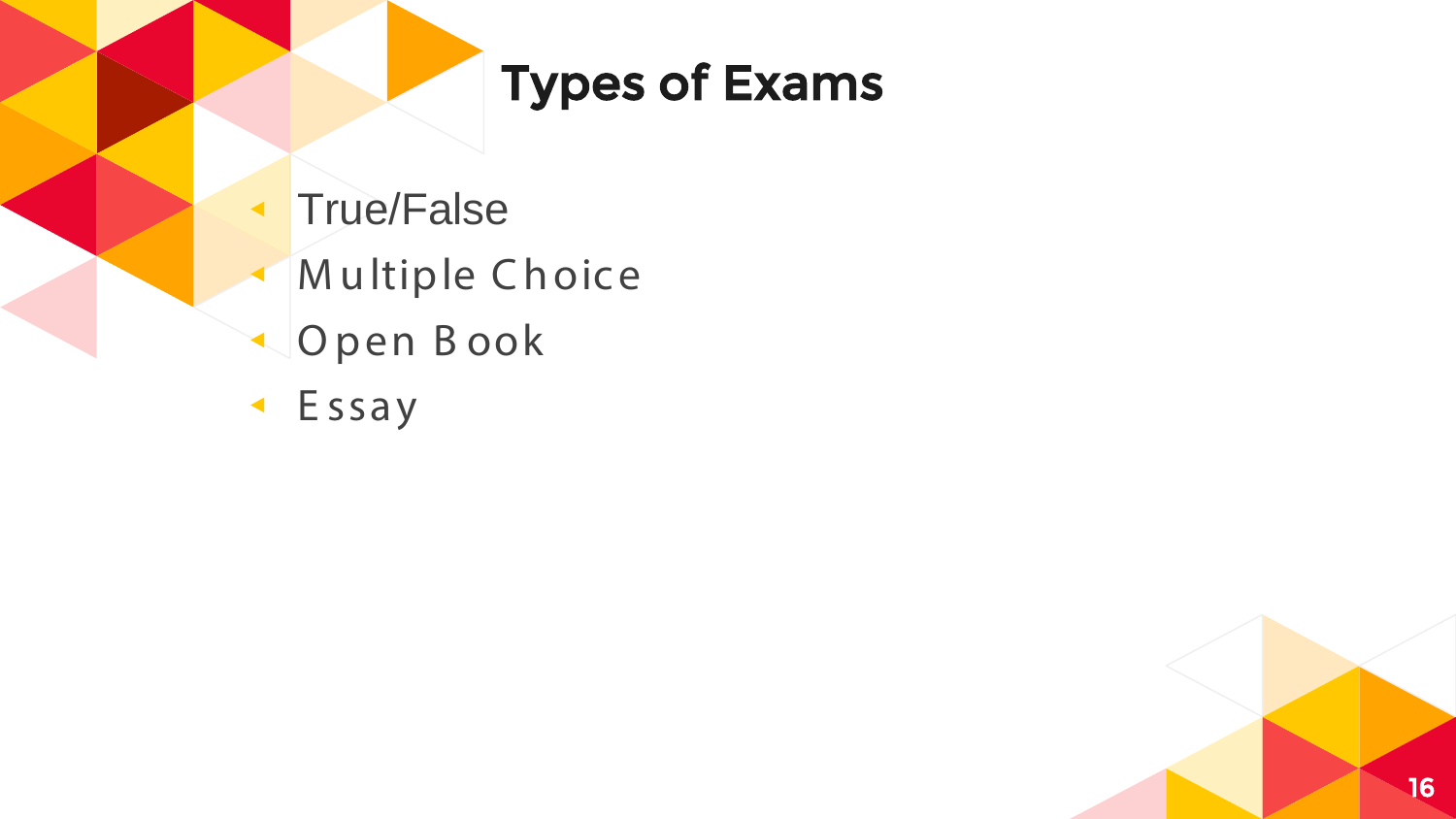

# **Types of Exams**

- True/False
- Multiple Choice
- Open Book
- $\triangleleft$  Essay

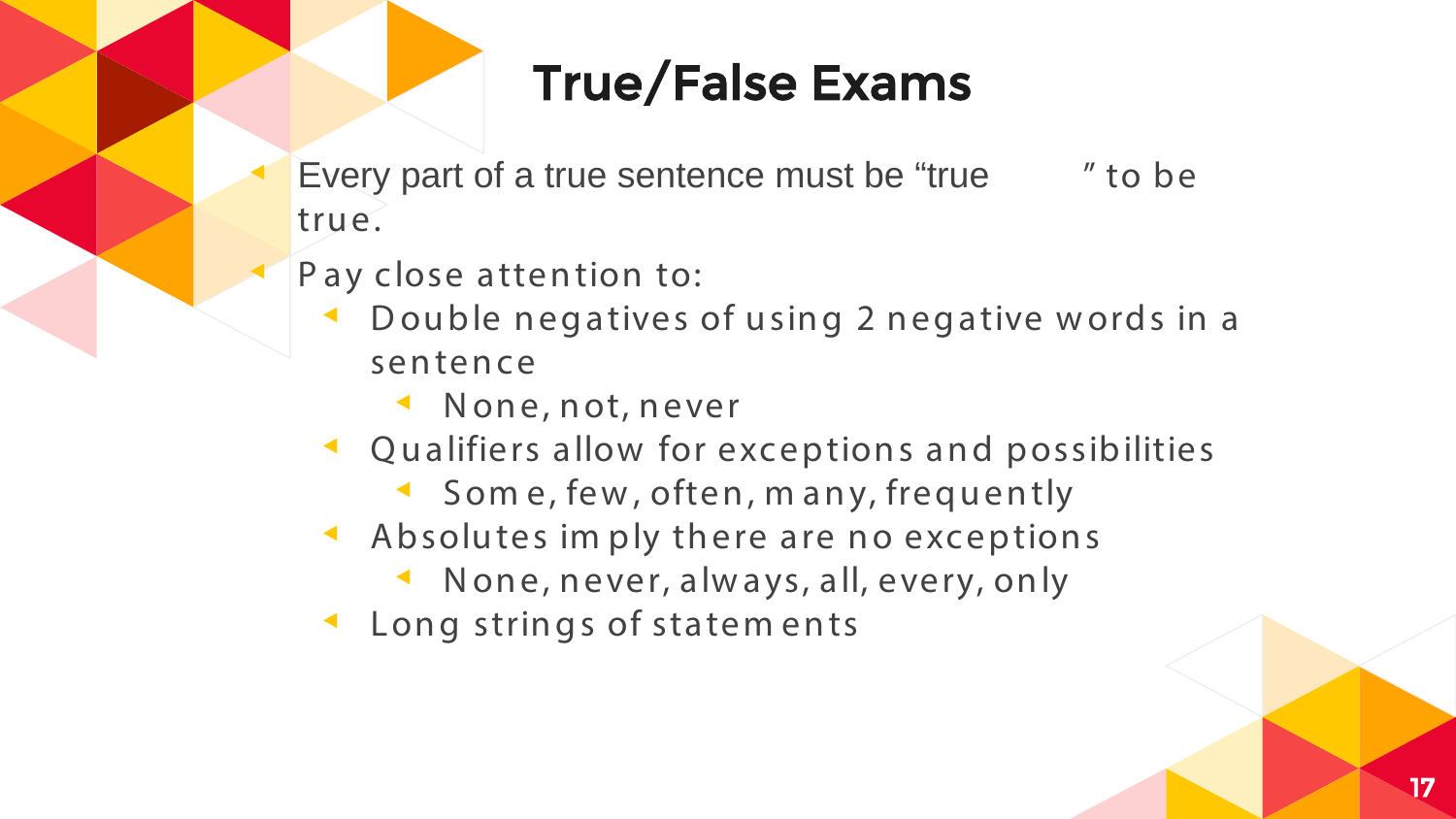# **True/False Exams**

- Every part of a true sentence must be "true" " to be true.
- Pay close attention to:
	- Double negatives of using 2 negative words in a sentence
		- None, not, never
	- ← Qualifiers allow for exceptions and possibilities
		- Some, few, often, many, frequently
	- Absolutes imply there are no exceptions
		- None, never, always, all, every, only
	- Long strings of statements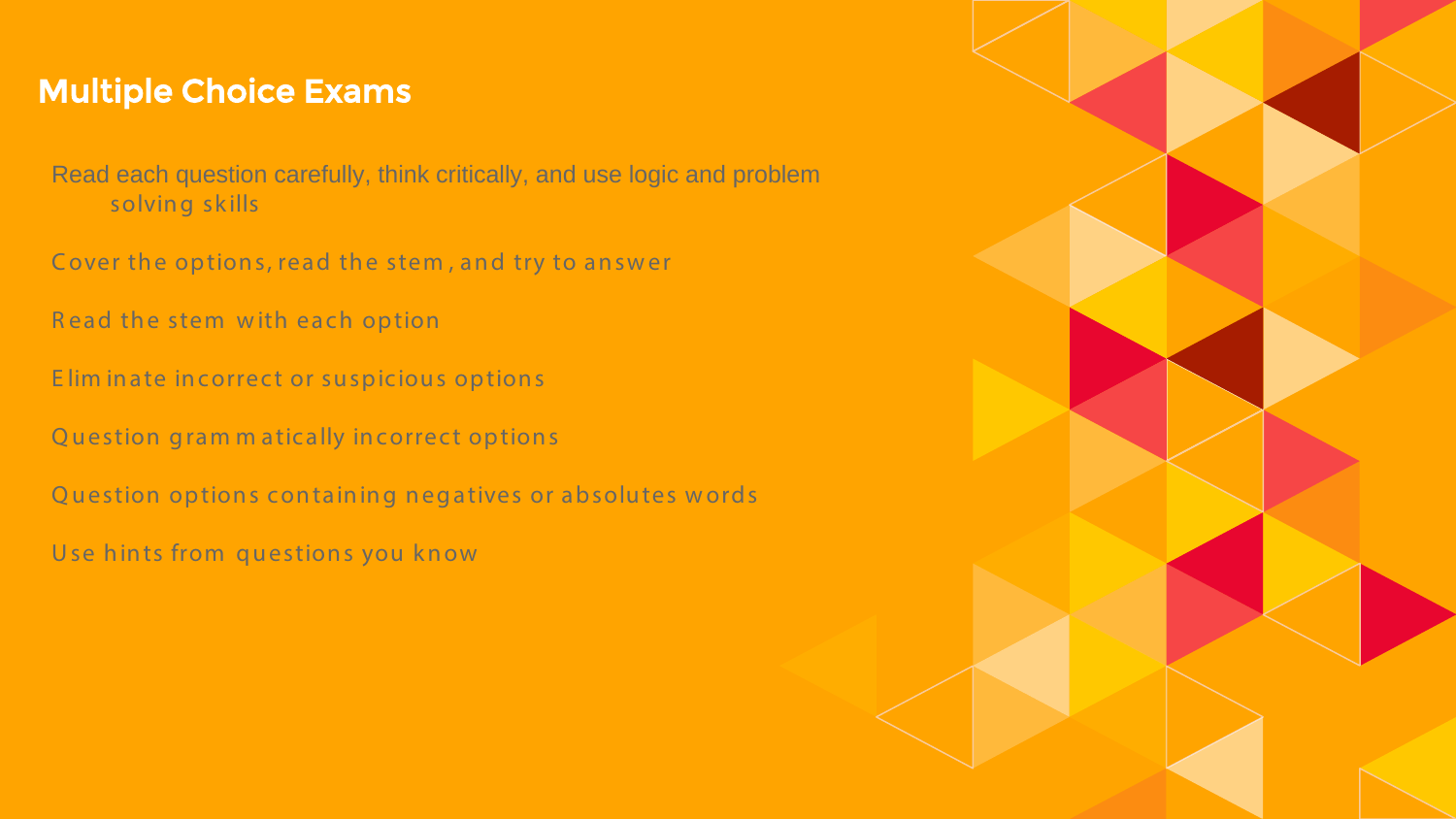#### Multiple Choice Exams

- Read each question carefully, think critically, and use logic and problem solving skills
- Cover the options, read the stem, and try to answer
- R ead the stem w ith each option
- E lim inate incorrect or suspicious options
- Q uestion gram m atically incorrect options
- Q uestion options containing negatives or absolutes words
- Use hints from questions you know

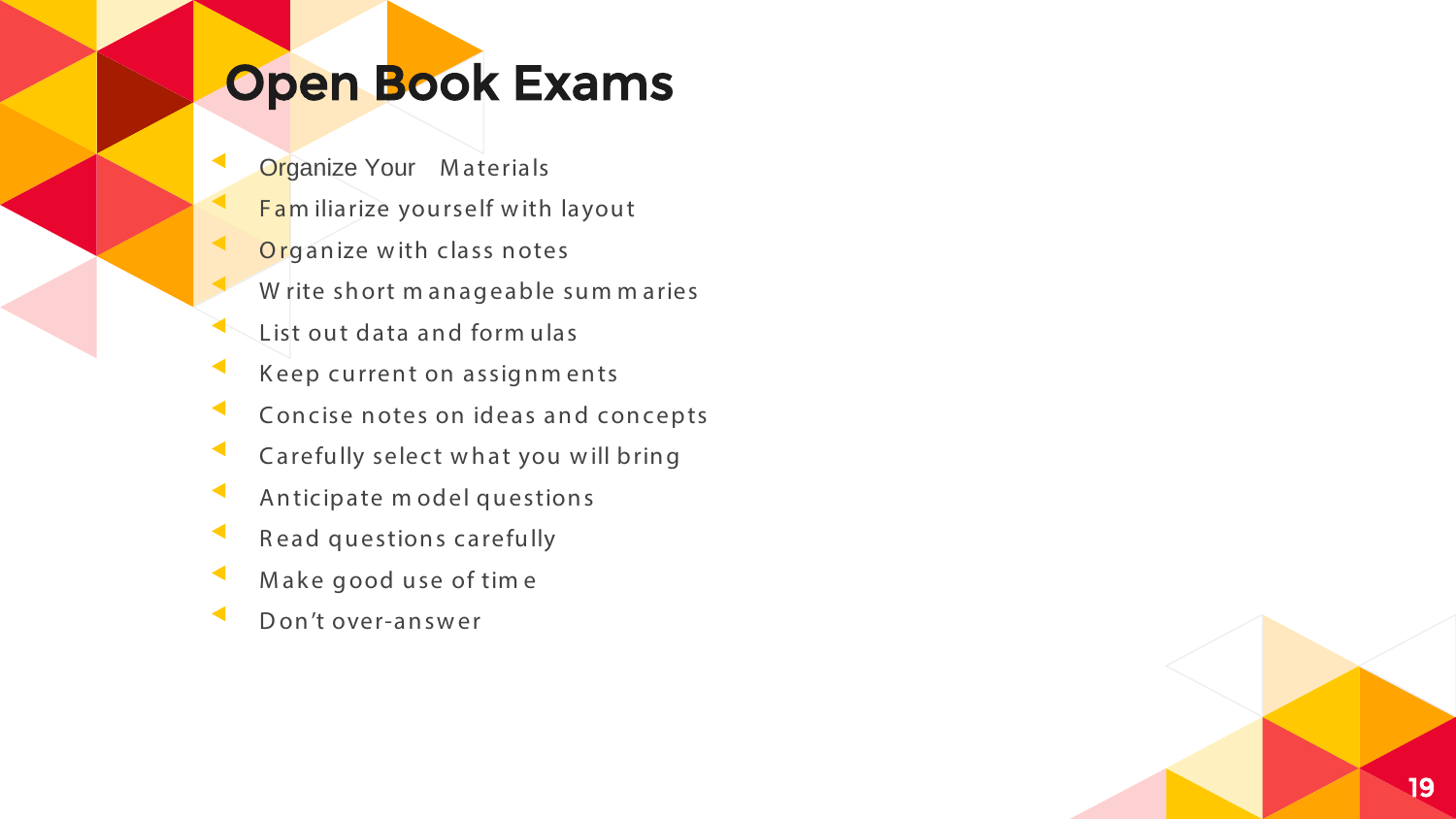# Open Book Exams

- 
- 
- 
- 
- 
- 
- Solutional Companize Your Materials<br>
19 Familiarize yourself with layout<br>
19 Organize with class notes<br>
20 Write short manageable sum maries<br>
20 Elist out data and formulas<br>
20 Elist out data and formulas<br>
20 Elist out dat
- 
- 
- 
- 
- 

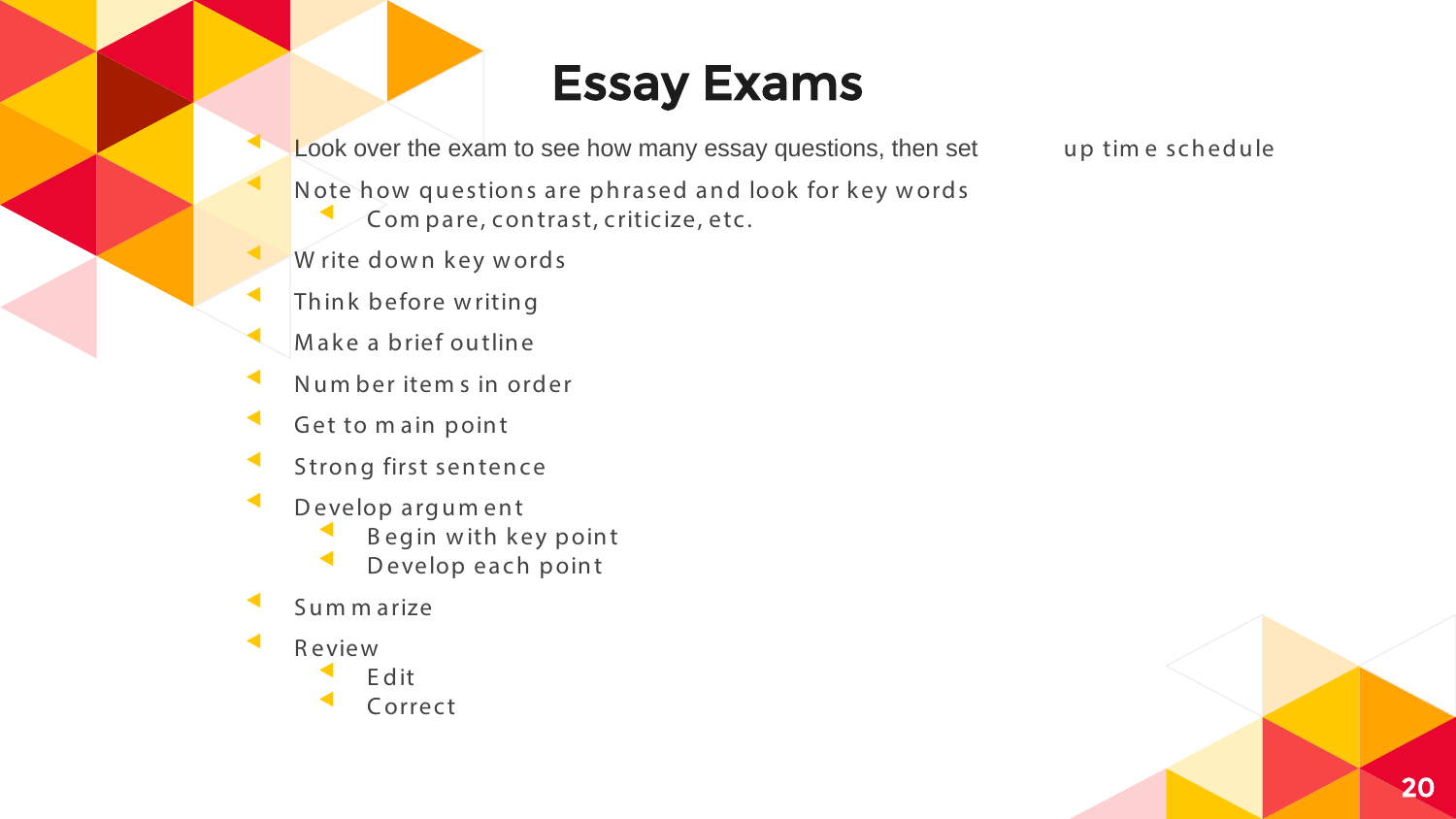### **Essay Exams**

Look over the exam to see how many essay questions, then set

up time schedule

- Note how questions are phrased and look for key words Com pare, contrast, criticize, etc.
- Write down key words
- Think before writing
- Make a brief outline
- Number items in order
- Get to main point
- Strong first sentence
- Develop argument
	- Begin with key point
	- Develop each point
- Sum m arize
- Review
	- Edit
	- Correct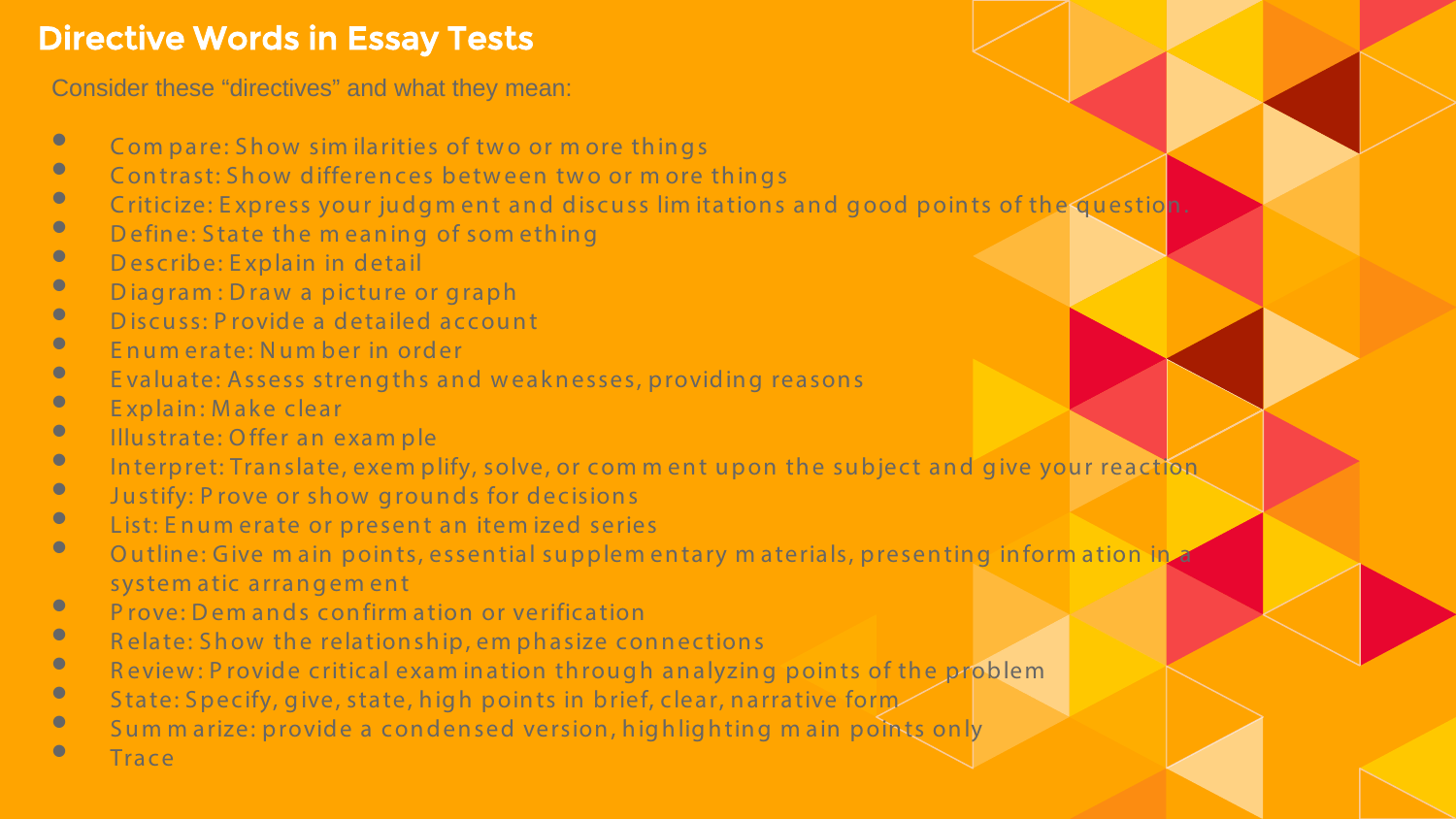### Directive Words in Essay Tests

Consider these "directives" and what they mean:

- Com pare: Show similarities of two or m ore things<br>• Contrast: Show differences between two or more
- Contrast: Show differences between two or m ore things<br>• Criticize: Express your judgment and discuss limitations
- Criticize: Express your judgment and discuss limitations and good points of the questio<mark>n.</mark><br>• Define: State the meaning of something
- Define: State the meaning of something
- Describe: Explain in detail
- Diagram : Draw a picture or graph
- Discuss: Provide a detailed account
- Enumerate: Number in order
- Evaluate: Assess strengths and weaknesses, providing reasons
- Explain: Make clear
- Illustrate: Offer an example
- Interpret: Translate, exem plify, solve, or comment upon the subject and give your reaction
- Justify: P rove or show grounds for decisions
- List: Enum erate or present an item ized series<br>• Qutling: Cive main points essential suppleme
- Outline: Give m ain points, essential supplem entary m aterials, presenting inform ation in system atic arrangem ent
- Prove: Dem ands confirm ation or verification
- Relate: Show the relationship, emphasize connections<br>• Poview: Provide critical examination through analyzing
- Review: P rovide critical exam ination through analyzing points of the problem
- State: Specify, give, state, high points in brief, clear, narrative form
- Summarize: provide a condensed version, highlighting main points only
	- **Trace**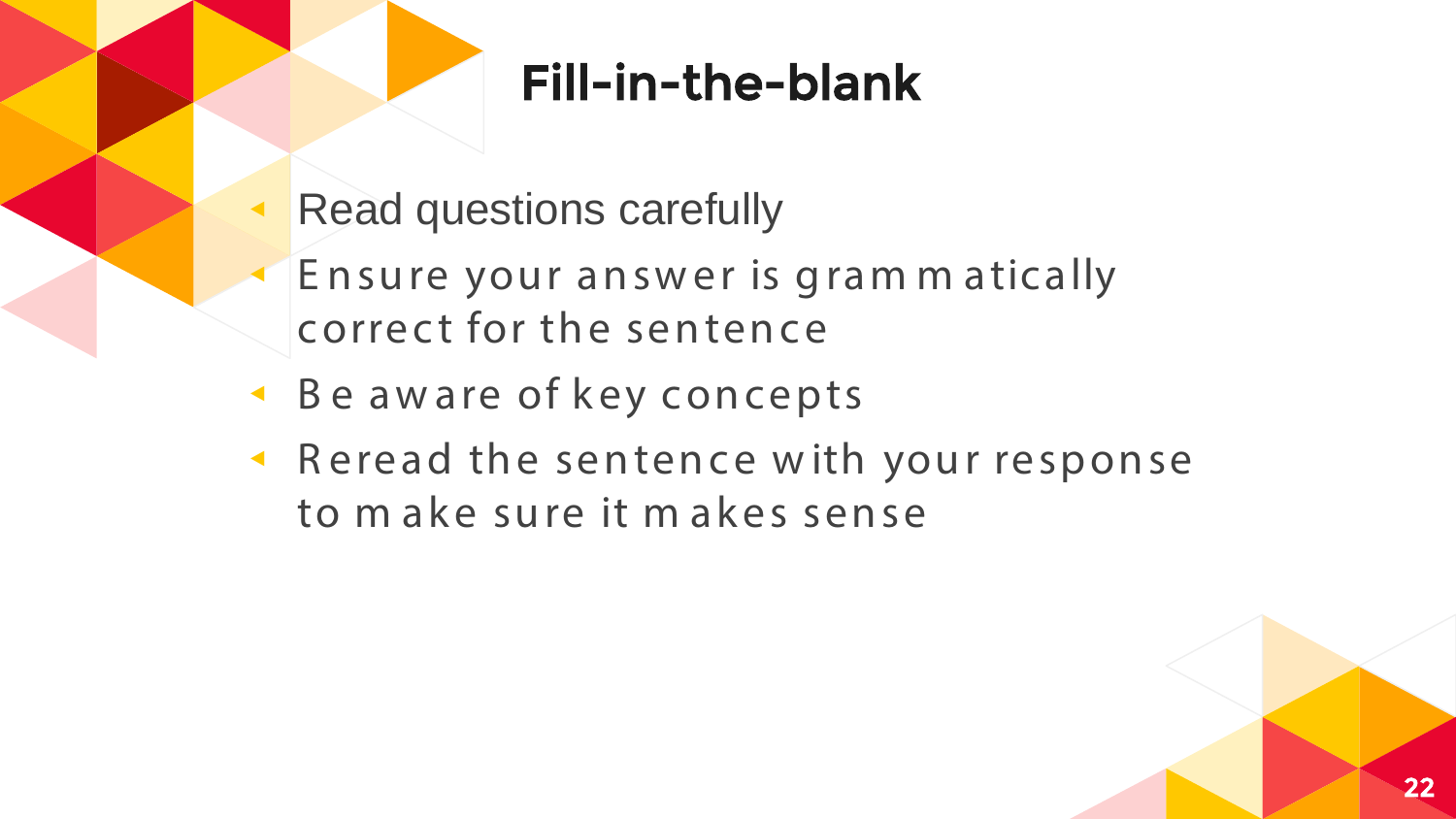# Fill-in-the-blank

- **Read questions carefully**
- Ensure your answer is gram matically correct for the sentence
- Be aware of key concepts
- Reread the sentence with your response to make sure it makes sense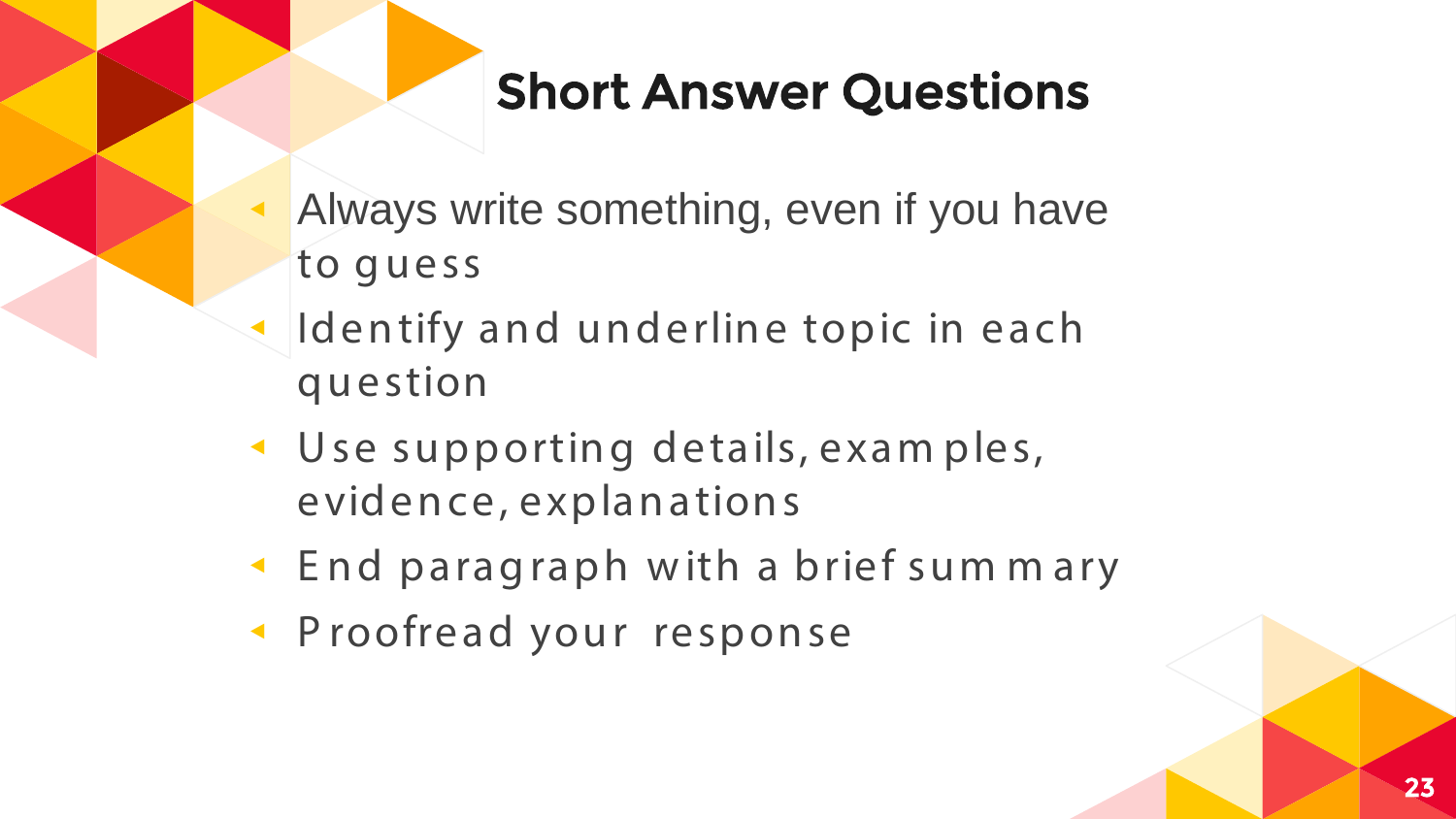# **Short Answer Questions**

- Always write something, even if you have to quess
- Identify and underline topic in each question
- Use supporting details, examples, evidence, explanations
- End paragraph with a brief sum mary
- Proofread your response